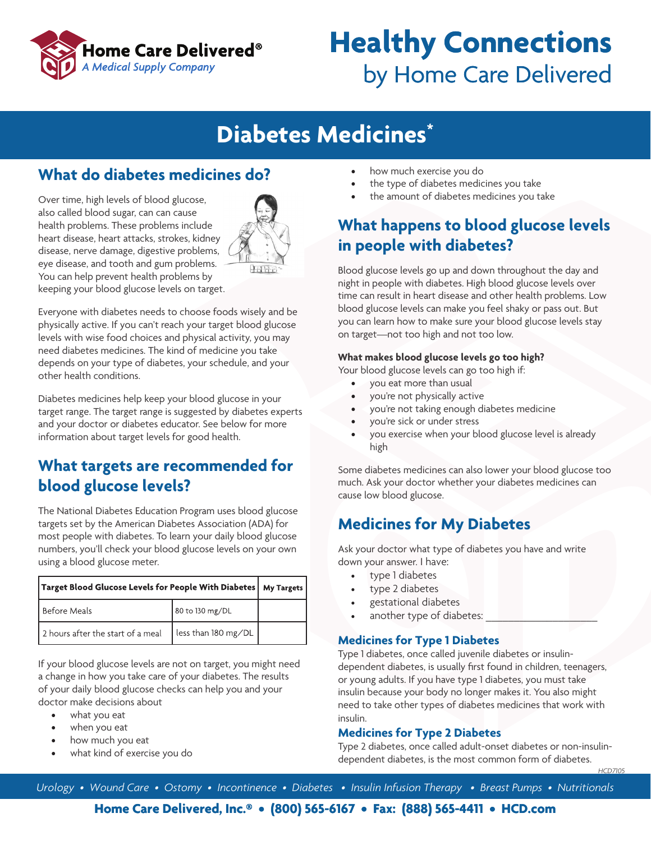

# **Healthy Connections** by Home Care Delivered

## **Diabetes Medicines\***

### **What do diabetes medicines do?**

Over time, high levels of blood glucose, also called blood sugar, can can cause health problems. These problems include heart disease, heart attacks, strokes, kidney disease, nerve damage, digestive problems, eye disease, and tooth and gum problems. You can help prevent health problems by keeping your blood glucose levels on target.



Everyone with diabetes needs to choose foods wisely and be physically active. If you can't reach your target blood glucose levels with wise food choices and physical activity, you may need diabetes medicines. The kind of medicine you take depends on your type of diabetes, your schedule, and your other health conditions.

Diabetes medicines help keep your blood glucose in your target range. The target range is suggested by diabetes experts and your doctor or diabetes educator. See below for more information about target levels for good health.

## **What targets are recommended for blood glucose levels?**

The National Diabetes Education Program uses blood glucose targets set by the American Diabetes Association (ADA) for most people with diabetes. To learn your daily blood glucose numbers, you'll check your blood glucose levels on your own using a blood glucose meter.

| Target Blood Glucose Levels for People With Diabetes   My Targets |                     |  |
|-------------------------------------------------------------------|---------------------|--|
| Before Meals                                                      | 80 to 130 mg/DL     |  |
| 2 hours after the start of a meal                                 | less than 180 mg/DL |  |

If your blood glucose levels are not on target, you might need a change in how you take care of your diabetes. The results of your daily blood glucose checks can help you and your doctor make decisions about

- what you eat
- when you eat
- how much you eat
- what kind of exercise you do
- how much exercise you do
- the type of diabetes medicines you take
- the amount of diabetes medicines you take

## **What happens to blood glucose levels in people with diabetes?**

Blood glucose levels go up and down throughout the day and night in people with diabetes. High blood glucose levels over time can result in heart disease and other health problems. Low blood glucose levels can make you feel shaky or pass out. But you can learn how to make sure your blood glucose levels stay on target—not too high and not too low.

#### **What makes blood glucose levels go too high?**

Your blood glucose levels can go too high if:

- you eat more than usual
- you're not physically active
- you're not taking enough diabetes medicine
- you're sick or under stress
- you exercise when your blood glucose level is already high

Some diabetes medicines can also lower your blood glucose too much. Ask your doctor whether your diabetes medicines can cause low blood glucose.

## **Medicines for My Diabetes**

Ask your doctor what type of diabetes you have and write down your answer. I have:

- type 1 diabetes
- type 2 diabetes
- gestational diabetes
- another type of diabetes:

#### **Medicines for Type 1 Diabetes**

Type 1 diabetes, once called juvenile diabetes or insulindependent diabetes, is usually first found in children, teenagers, or young adults. If you have type 1 diabetes, you must take insulin because your body no longer makes it. You also might need to take other types of diabetes medicines that work with insulin.

#### **Medicines for Type 2 Diabetes**

Type 2 diabetes, once called adult-onset diabetes or non-insulindependent diabetes, is the most common form of diabetes. *HCD7105*

**Home Care Delivered, Inc.® • (800) 565-6167 • Fax: (888) 565-4411 • HCD.com**